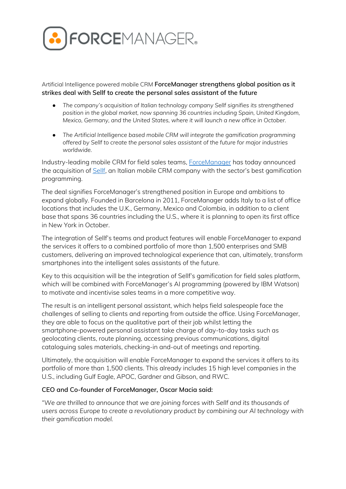

Artificial Intelligence powered mobile CRM **ForceManager strengthens global position as it strikes deal with Sellf to create the personal sales assistant of the future**

- *● The company's acquisition of Italian technology company Sellf signifies its strengthened position in the global market, now spanning 36 countries including Spain, United Kingdom, Mexico, Germany, and the United States, where it will launch a new office in October.*
- *● The Artificial Intelligence based mobile CRM will integrate the gamification programming offered by Sellf to create the personal sales assistant of the future for major industries worldwide.*

Industry-leading mobile CRM for field sales teams, [ForceManager](https://www.forcemanager.com/) has today announced the acquisition of [Sellf,](http://sellfapp.com/) an Italian mobile CRM company with the sector's best gamification programming.

The deal signifies ForceManager's strengthened position in Europe and ambitions to expand globally. Founded in Barcelona in 2011, ForceManager adds Italy to a list of office locations that includes the U.K., Germany, Mexico and Colombia, in addition to a client base that spans 36 countries including the U.S., where it is planning to open its first office in New York in October.

The integration of Sellf's teams and product features will enable ForceManager to expand the services it offers to a combined portfolio of more than 1,500 enterprises and SMB customers, delivering an improved technological experience that can, ultimately, transform smartphones into the intelligent sales assistants of the future.

Key to this acquisition will be the integration of Sellf's gamification for field sales platform, which will be combined with ForceManager's AI programming (powered by IBM Watson) to motivate and incentivise sales teams in a more competitive way.

The result is an intelligent personal assistant, which helps field salespeople face the challenges of selling to clients and reporting from outside the office. Using ForceManager, they are able to focus on the qualitative part of their job whilst letting the smartphone-powered personal assistant take charge of day-to-day tasks such as geolocating clients, route planning, accessing previous communications, digital cataloguing sales materials, checking-in and-out of meetings and reporting.

Ultimately, the acquisition will enable ForceManager to expand the services it offers to its portfolio of more than 1,500 clients. This already includes 15 high level companies in the U.S., including Gulf Eagle, APOC, Gardner and Gibson, and RWC.

### **CEO and Co-founder of ForceManager, Oscar Macia said:**

*"We are thrilled to announce that we are joining forces with Sellf and its thousands of users across Europe to create a revolutionary product by combining our AI technology with their gamification model.*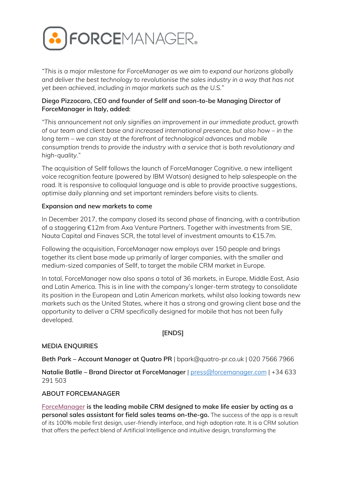

*"This is a major milestone for ForceManager as we aim to expand our horizons globally and deliver the best technology to revolutionise the sales industry in a way that has not yet been achieved, including in major markets such as the U.S."*

# **Diego Pizzocaro, CEO and founder of Sellf and soon-to-be Managing Director of ForceManager in Italy, added:**

*"This announcement not only signifies an improvement in our immediate product, growth of our team and client base and increased international presence, but also how – in the long term – we can stay at the forefront of technological advances and mobile consumption trends to provide the industry with a service that is both revolutionary and high-quality."*

The acquisition of Sellf follows the launch of ForceManager Cognitive, a new intelligent voice recognition feature (powered by IBM Watson) designed to help salespeople on the road. It is responsive to colloquial language and is able to provide proactive suggestions, optimise daily planning and set important reminders before visits to clients.

### **Expansion and new markets to come**

In December 2017, the company closed its second phase of financing, with a contribution of a staggering €12m from Axa Venture Partners. Together with investments from SIE, Nauta Capital and Finaves SCR, the total level of investment amounts to €15.7m.

Following the acquisition, ForceManager now employs over 150 people and brings together its client base made up primarily of larger companies, with the smaller and medium-sized companies of Sellf, to target the mobile CRM market in Europe.

In total, ForceManager now also spans a total of 36 markets, in Europe, Middle East, Asia and Latin America. This is in line with the company's longer-term strategy to consolidate its position in the European and Latin American markets, whilst also looking towards new markets such as the United States, where it has a strong and growing client base and the opportunity to deliver a CRM specifically designed for mobile that has not been fully developed.

# **[ENDS]**

### **MEDIA ENQUIRIES**

**Beth Park – Account Manager at Quatro PR** | bpark@quatro-pr.co.uk | 020 7566 7966

**Natalie Batlle – Brand Director at ForceManager** | [press@forcemanager.com](mailto:press@forcemanager.com) | +34 633 291 503

### **ABOUT FORCEMANAGER**

**[ForceManager](http://www.forcemanager.com/) is the leading mobile CRM designed to make life easier by acting as a personal sales assistant for field sales teams on-the-go.** The success of the app is a result of its 100% mobile first design, user-friendly interface, and high adoption rate. It is a CRM solution that offers the perfect blend of Artificial Intelligence and intuitive design, transforming the